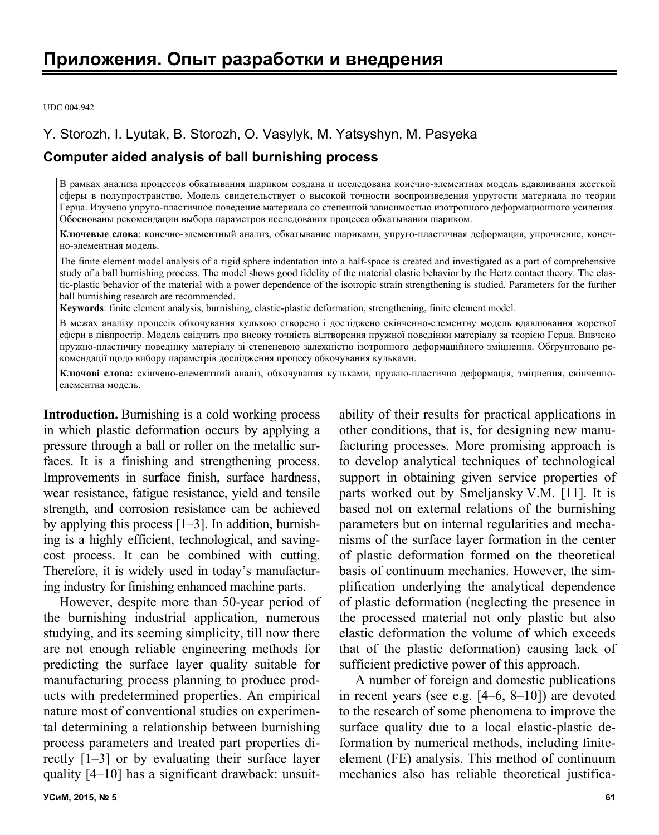UDC 004.942

# Y. Storozh, I. Lyutak, B. Storozh, O. Vasylyk, M. Yatsyshyn, M. Pasyeka

# **Computer aided analysis of ball burnishing process**

В рамках анализа процессов обкатывания шариком создана и исследована конечно-элементная модель вдавливания жесткой сферы в полупространство. Модель свидетельствует о высокой точности воспроизведения упругости материала по теории Герца. Изучено упруго-пластичное поведение материала со степенной зависимостью изотропного деформационного усиления. Обоснованы рекомендации выбора параметров исследования процесса обкатывания шариком.

**Ключевые слова**: конечно-элементный анализ, обкатывание шариками, упруго-пластичная деформация, упрочнение, конечно-элементная модель.

The finite element model analysis of a rigid sphere indentation into a half-space is created and investigated as a part of comprehensive study of a ball burnishing process. The model shows good fidelity of the material elastic behavior by the Hertz contact theory. The elastic-plastic behavior of the material with a power dependence of the isotropic strain strengthening is studied. Parameters for the further ball burnishing research are recommended.

**Keywords**: finite element analysis, burnishing, elastic-plastic deformation, strengthening, finite element model.

В межах аналізу процесів обкочування кулькою створено і досліджено скінченно-елементну модель вдавлювання жорсткої сфери в півпростір. Модель свідчить про високу точність відтворення пружної поведінки матеріалу за теорією Герца. Вивчено пружно-пластичну поведінку матеріалу зі степеневою залежністю ізотропного деформаційного зміцнення. Обґрунтовано рекомендації щодо вибору параметрів дослідження процесу обкочування кульками.

**Ключові слова:** скінчено-елементний аналіз, обкочування кульками, пружно-пластична деформація, зміцнення, скінченноелементна модель.

**Introduction.** Burnishing is a cold working process in which plastic deformation occurs by applying a pressure through a ball or roller on the metallic surfaces. It is a finishing and strengthening process. Improvements in surface finish, surface hardness, wear resistance, fatigue resistance, yield and tensile strength, and corrosion resistance can be achieved by applying this process [1–3]. In addition, burnishing is a highly efficient, technological, and savingcost process. It can be combined with cutting. Therefore, it is widely used in today's manufacturing industry for finishing enhanced machine parts.

However, despite more than 50-year period of the burnishing industrial application, numerous studying, and its seeming simplicity, till now there are not enough reliable engineering methods for predicting the surface layer quality suitable for manufacturing process planning to produce products with predetermined properties. An empirical nature most of conventional studies on experimental determining a relationship between burnishing process parameters and treated part properties directly [1–3] or by evaluating their surface layer quality [4–10] has a significant drawback: unsuitability of their results for practical applications in other conditions, that is, for designing new manufacturing processes. More promising approach is to develop analytical techniques of technological support in obtaining given service properties of parts worked out by Smeljansky V.M. [11]. It is based not on external relations of the burnishing parameters but on internal regularities and mechanisms of the surface layer formation in the center of plastic deformation formed on the theoretical basis of continuum mechanics. However, the simplification underlying the analytical dependence of plastic deformation (neglecting the presence in the processed material not only plastic but also elastic deformation the volume of which exceeds that of the plastic deformation) causing lack of sufficient predictive power of this approach.

A number of foreign and domestic publications in recent years (see e.g. [4–6, 8–10]) are devoted to the research of some phenomena to improve the surface quality due to a local elastic-plastic deformation by numerical methods, including finiteelement (FE) analysis. This method of continuum mechanics also has reliable theoretical justifica-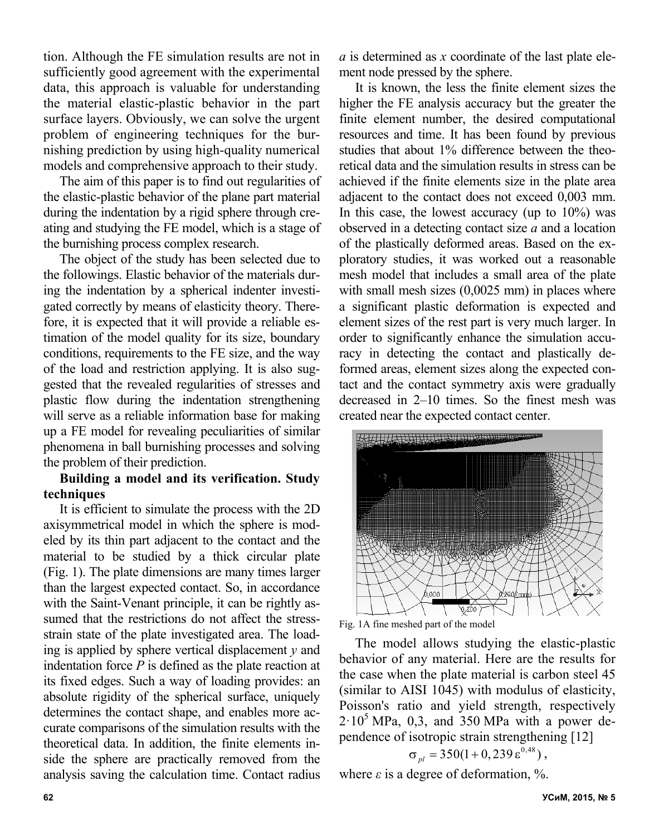tion. Although the FE simulation results are not in sufficiently good agreement with the experimental data, this approach is valuable for understanding the material elastic-plastic behavior in the part surface layers. Obviously, we can solve the urgent problem of engineering techniques for the burnishing prediction by using high-quality numerical models and comprehensive approach to their study.

The aim of this paper is to find out regularities of the elastic-plastic behavior of the plane part material during the indentation by a rigid sphere through creating and studying the FE model, which is a stage of the burnishing process complex research.

The object of the study has been selected due to the followings. Elastic behavior of the materials during the indentation by a spherical indenter investigated correctly by means of elasticity theory. Therefore, it is expected that it will provide a reliable estimation of the model quality for its size, boundary conditions, requirements to the FE size, and the way of the load and restriction applying. It is also suggested that the revealed regularities of stresses and plastic flow during the indentation strengthening will serve as a reliable information base for making up a FE model for revealing peculiarities of similar phenomena in ball burnishing processes and solving the problem of their prediction.

## **Building a model and its verification. Study techniques**

It is efficient to simulate the process with the 2D axisymmetrical model in which the sphere is modeled by its thin part adjacent to the contact and the material to be studied by a thick circular plate (Fig. 1). The plate dimensions are many times larger than the largest expected contact. So, in accordance with the Saint-Venant principle, it can be rightly assumed that the restrictions do not affect the stressstrain state of the plate investigated area. The loading is applied by sphere vertical displacement *y* and indentation force *P* is defined as the plate reaction at its fixed edges. Such a way of loading provides: an absolute rigidity of the spherical surface, uniquely determines the contact shape, and enables more accurate comparisons of the simulation results with the theoretical data. In addition, the finite elements inside the sphere are practically removed from the analysis saving the calculation time. Contact radius

*a* is determined as *x* coordinate of the last plate element node pressed by the sphere.

It is known, the less the finite element sizes the higher the FE analysis accuracy but the greater the finite element number, the desired computational resources and time. It has been found by previous studies that about 1% difference between the theoretical data and the simulation results in stress can be achieved if the finite elements size in the plate area adjacent to the contact does not exceed 0,003 mm. In this case, the lowest accuracy (up to  $10\%$ ) was observed in a detecting contact size *a* and a location of the plastically deformed areas. Based on the exploratory studies, it was worked out a reasonable mesh model that includes a small area of the plate with small mesh sizes (0,0025 mm) in places where a significant plastic deformation is expected and element sizes of the rest part is very much larger. In order to significantly enhance the simulation accuracy in detecting the contact and plastically deformed areas, element sizes along the expected contact and the contact symmetry axis were gradually decreased in 2–10 times. So the finest mesh was created near the expected contact center.





The model allows studying the elastic-plastic behavior of any material. Here are the results for the case when the plate material is carbon steel 45 (similar to AISI 1045) with modulus of elasticity, Poisson's ratio and yield strength, respectively  $2.10<sup>5</sup>$  MPa, 0,3, and 350 MPa with a power dependence of isotropic strain strengthening [12]

$$
\sigma_{pl} = 350(1+0,239\,\varepsilon^{0,48})\,,
$$

where  $\varepsilon$  is a degree of deformation,  $\%$ .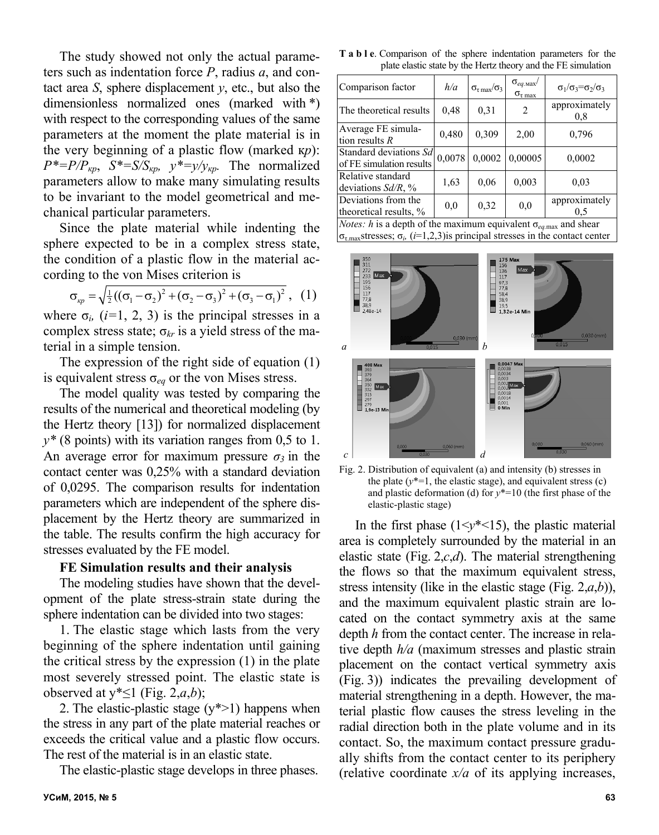The study showed not only the actual parameters such as indentation force *P*, radius *a*, and contact area *S*, sphere displacement *y*, etc., but also the dimensionless normalized ones (marked with \*) with respect to the corresponding values of the same parameters at the moment the plate material is in the very beginning of a plastic flow (marked к*р*):  $P^* = P/P_{\kappa p}$ ,  $S^* = S/S_{\kappa p}$ ,  $y^* = y/y_{\kappa p}$ . The normalized parameters allow to make many simulating results to be invariant to the model geometrical and mechanical particular parameters.

Since the plate material while indenting the sphere expected to be in a complex stress state, the condition of a plastic flow in the material according to the von Mises criterion is

$$
\sigma_{\kappa p} = \sqrt{\frac{1}{2} ((\sigma_1 - \sigma_2)^2 + (\sigma_2 - \sigma_3)^2 + (\sigma_3 - \sigma_1)^2}, (1)
$$

where  $\sigma_i$ ,  $(i=1, 2, 3)$  is the principal stresses in a complex stress state;  $\sigma_{kr}$  is a yield stress of the material in a simple tension.

The expression of the right side of equation (1) is equivalent stress  $\sigma_{eq}$  or the von Mises stress.

The model quality was tested by comparing the results of the numerical and theoretical modeling (by the Hertz theory [13]) for normalized displacement  $y^*$  (8 points) with its variation ranges from 0,5 to 1. An average error for maximum pressure  $\sigma_3$  in the contact center was 0,25% with a standard deviation of 0,0295. The comparison results for indentation parameters which are independent of the sphere displacement by the Hertz theory are summarized in the table. The results confirm the high accuracy for stresses evaluated by the FE model.

### **FE Simulation results and their analysis**

The modeling studies have shown that the development of the plate stress-strain state during the sphere indentation can be divided into two stages:

1. The elastic stage which lasts from the very beginning of the sphere indentation until gaining the critical stress by the expression (1) in the plate most severely stressed point. The elastic state is observed at  $y^* \leq 1$  (Fig. 2,*a*,*b*);

2. The elastic-plastic stage  $(y^* > 1)$  happens when the stress in any part of the plate material reaches or exceeds the critical value and a plastic flow occurs. The rest of the material is in an elastic state.

The elastic-plastic stage develops in three phases.

**T a b l e**. Comparison of the sphere indentation parameters for the plate elastic state by the Hertz theory and the FE simulation

| Comparison factor                                                                 | h/a    | $\sigma_{\tau \max}/\sigma_3$ | $\sigma_{eq \text{.max}}/$<br>$\sigma_{\tau \max}$ | $\sigma_1/\sigma_3 = \sigma_2/\sigma_3$ |
|-----------------------------------------------------------------------------------|--------|-------------------------------|----------------------------------------------------|-----------------------------------------|
| The theoretical results                                                           | 0,48   | 0,31                          | $\overline{2}$                                     | approximately<br>0,8                    |
| Average FE simula-<br>tion results $R$                                            | 0,480  | 0,309                         | 2,00                                               | 0,796                                   |
| Standard deviations Sd<br>of FE simulation results                                | 0,0078 | 0,0002                        | 0,00005                                            | 0,0002                                  |
| Relative standard<br>deviations $Sd/R$ , %                                        | 1,63   | 0.06                          | 0.003                                              | 0,03                                    |
| Deviations from the<br>theoretical results, %                                     | 0.0    | 0.32                          | 0.0                                                | approximately<br>0.5                    |
| <i>Notes:</i> h is a depth of the maximum equivalent $\sigma_{eq, max}$ and shear |        |                               |                                                    |                                         |

 $|\sigma_{\tau_{\text{max}}}$ stresses;  $\sigma_i$ , (*i*=1,2,3) is principal stresses in the contact center



Fig. 2. Distribution of equivalent (a) and intensity (b) stresses in the plate  $(y^*=1)$ , the elastic stage), and equivalent stress  $(c)$ and plastic deformation (d) for *y*\*=10 (the first phase of the elastic-plastic stage)

In the first phase  $(1 \le y^* \le 15)$ , the plastic material area is completely surrounded by the material in an elastic state (Fig. 2,*c*,*d*). The material strengthening the flows so that the maximum equivalent stress, stress intensity (like in the elastic stage (Fig. 2,*a*,*b*)), and the maximum equivalent plastic strain are located on the contact symmetry axis at the same depth *h* from the contact center. The increase in relative depth *h/a* (maximum stresses and plastic strain placement on the contact vertical symmetry axis (Fig. 3)) indicates the prevailing development of material strengthening in a depth. However, the material plastic flow causes the stress leveling in the radial direction both in the plate volume and in its contact. So, the maximum contact pressure gradually shifts from the contact center to its periphery (relative coordinate  $x/a$  of its applying increases,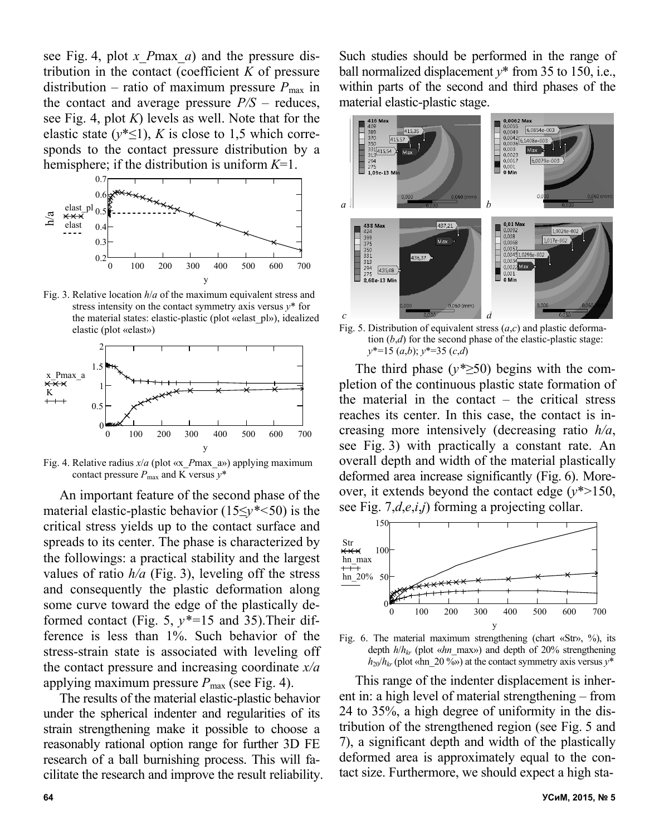see Fig. 4, plot *x\_P*max*\_a*) and the pressure distribution in the contact (coefficient *K* of pressure distribution – ratio of maximum pressure  $P_{\text{max}}$  in the contact and average pressure  $P/S$  – reduces, see Fig. 4, plot *K*) levels as well. Note that for the elastic state  $(y^* \leq 1)$ , *K* is close to 1,5 which corresponds to the contact pressure distribution by a hemisphere; if the distribution is uniform *K*=1.



Fig. 3. Relative location *h*/*a* of the maximum equivalent stress and stress intensity on the contact symmetry axis versus *y*\* for the material states: elastic-plastic (plot «elast\_pl»), idealized elastic (plot «elast»)



Fig. 4. Relative radius *x*/*a* (plot «x\_*P*max\_a») applying maximum contact pressure  $P_{\text{max}}$  and K versus  $y^*$ 

An important feature of the second phase of the material elastic-plastic behavior (15≤*y\*<*50) is the critical stress yields up to the contact surface and spreads to its center. The phase is characterized by the followings: a practical stability and the largest values of ratio  $h/a$  (Fig. 3), leveling off the stress and consequently the plastic deformation along some curve toward the edge of the plastically deformed contact (Fig. 5, *y\*=*15 and 35).Their difference is less than 1%. Such behavior of the stress-strain state is associated with leveling off the contact pressure and increasing coordinate *x/a*  applying maximum pressure  $P_{\text{max}}$  (see Fig. 4).

The results of the material elastic-plastic behavior under the spherical indenter and regularities of its strain strengthening make it possible to choose a reasonably rational option range for further 3D FE research of a ball burnishing process. This will facilitate the research and improve the result reliability. Such studies should be performed in the range of ball normalized displacement *y*\* from 35 to 150, i.e., within parts of the second and third phases of the material elastic-plastic stage.



Fig. 5. Distribution of equivalent stress (*a*,*c*) and plastic deformation  $(b,d)$  for the second phase of the elastic-plastic stage: *y*\*=15 (*a*,*b*); *y*\*=35 (*c*,*d*)

The third phase (*y\*≥*50) begins with the completion of the continuous plastic state formation of the material in the contact – the critical stress reaches its center. In this case, the contact is increasing more intensively (decreasing ratio *h/a*, see Fig. 3) with practically a constant rate. An overall depth and width of the material plastically deformed area increase significantly (Fig. 6). Moreover, it extends beyond the contact edge  $(v^* > 150)$ , see Fig. 7,*d*,*e*,*i*,*j*) forming a projecting collar.



Fig. 6. The material maximum strengthening (chart «Str», %), its depth *h*/*hkr* (plot «*hn*\_max») and depth of 20% strengthening  $h_{20}/h_{kr}$  (plot «hn 20 %») at the contact symmetry axis versus  $y^*$ 

This range of the indenter displacement is inherent in: a high level of material strengthening – from 24 to 35%, a high degree of uniformity in the distribution of the strengthened region (see Fig. 5 and 7), a significant depth and width of the plastically deformed area is approximately equal to the contact size. Furthermore, we should expect a high sta-